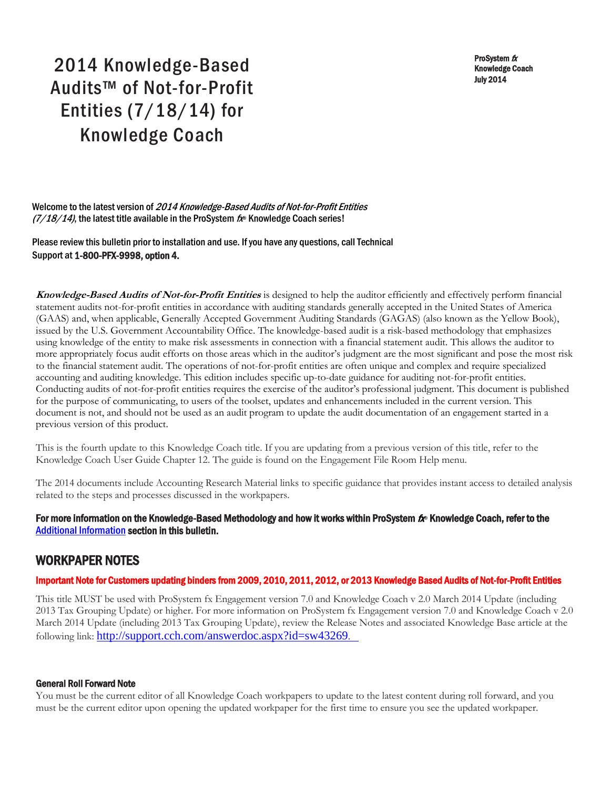ProSystem fx Knowledge Coach July 2014

# 2014 Knowledge-Based Audits™ of Not-for-Profit Entities (7/18/14) for Knowledge Coach

Welcome to the latest version of 2014 Knowledge-Based Audits of Not-for-Profit Entities  $(7/18/14)$ , the latest title available in the ProSystem  $f_{\text{R}}$  Knowledge Coach series!

Please review this bulletin prior to installation and use. If you have any questions, call Technical Support at 1-800-PFX-9998, option 4.

**Knowledge-Based Audits of Not-for-Profit Entities** is designed to help the auditor efficiently and effectively perform financial statement audits not-for-profit entities in accordance with auditing standards generally accepted in the United States of America (GAAS) and, when applicable, Generally Accepted Government Auditing Standards (GAGAS) (also known as the Yellow Book), issued by the U.S. Government Accountability Office. The knowledge-based audit is a risk-based methodology that emphasizes using knowledge of the entity to make risk assessments in connection with a financial statement audit. This allows the auditor to more appropriately focus audit efforts on those areas which in the auditor's judgment are the most significant and pose the most risk to the financial statement audit. The operations of not-for-profit entities are often unique and complex and require specialized accounting and auditing knowledge. This edition includes specific up-to-date guidance for auditing not-for-profit entities. Conducting audits of not-for-profit entities requires the exercise of the auditor's professional judgment. This document is published for the purpose of communicating, to users of the toolset, updates and enhancements included in the current version. This document is not, and should not be used as an audit program to update the audit documentation of an engagement started in a previous version of this product.

This is the fourth update to this Knowledge Coach title. If you are updating from a previous version of this title, refer to the Knowledge Coach User Guide Chapter 12. The guide is found on the Engagement File Room Help menu.

The 2014 documents include Accounting Research Material links to specific guidance that provides instant access to detailed analysis related to the steps and processes discussed in the workpapers.

For more information on the Knowledge-Based Methodology and how it works within ProSystem  $f_\text{R}$  Knowledge Coach, refer to the [Additional Information s](#page-2-0)ection in this bulletin.

## WORKPAPER NOTES

#### Important Note for Customers updating binders from 2009, 2010, 2011, 2012, or 2013 Knowledge Based Audits of Not-for-Profit Entities

This title MUST be used with ProSystem fx Engagement version 7.0 and Knowledge Coach v 2.0 March 2014 Update (including 2013 Tax Grouping Update) or higher. For more information on ProSystem fx Engagement version 7.0 and Knowledge Coach v 2.0 March 2014 Update (including 2013 Tax Grouping Update), review the Release Notes and associated Knowledge Base article at the following link: <http://support.cch.com/answerdoc.aspx?id=sw43269>.

#### General Roll Forward Note

You must be the current editor of all Knowledge Coach workpapers to update to the latest content during roll forward, and you must be the current editor upon opening the updated workpaper for the first time to ensure you see the updated workpaper.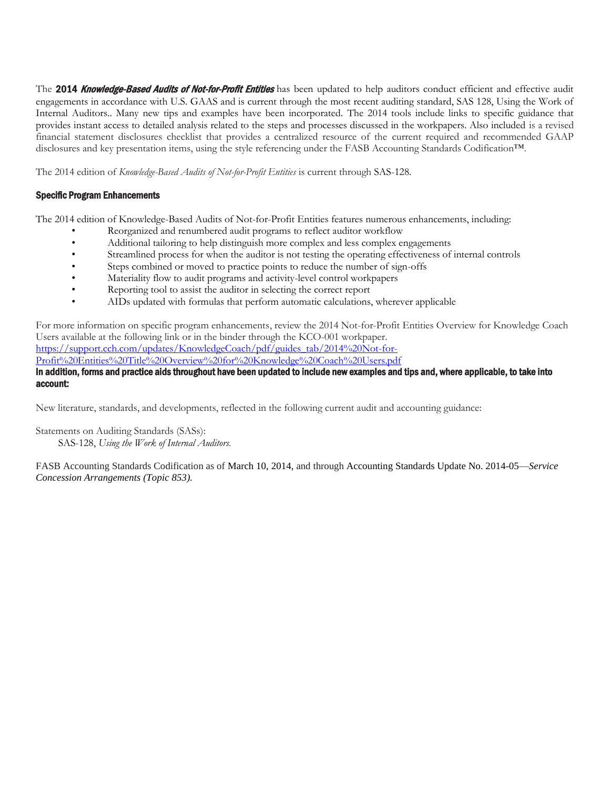The 2014 Knowledge-Based Audits of Not-for-Profit Entities has been updated to help auditors conduct efficient and effective audit engagements in accordance with U.S. GAAS and is current through the most recent auditing standard, SAS 128, Using the Work of Internal Auditors.. Many new tips and examples have been incorporated. The 2014 tools include links to specific guidance that provides instant access to detailed analysis related to the steps and processes discussed in the workpapers. Also included is a revised financial statement disclosures checklist that provides a centralized resource of the current required and recommended GAAP disclosures and key presentation items, using the style referencing under the FASB Accounting Standards Codification™.

The 2014 edition of *Knowledge-Based Audits of Not-for-Profit Entities* is current through SAS-128.

#### Specific Program Enhancements

The 2014 edition of Knowledge-Based Audits of Not-for-Profit Entities features numerous enhancements, including:

- Reorganized and renumbered audit programs to reflect auditor workflow
- Additional tailoring to help distinguish more complex and less complex engagements
- Streamlined process for when the auditor is not testing the operating effectiveness of internal controls
- Steps combined or moved to practice points to reduce the number of sign-offs
- Materiality flow to audit programs and activity-level control workpapers
- Reporting tool to assist the auditor in selecting the correct report
- AIDs updated with formulas that perform automatic calculations, wherever applicable

For more information on specific program enhancements, review the 2014 Not-for-Profit Entities Overview for Knowledge Coach Users available at the following link or in the binder through the KCO-001 workpaper. [https://support.cch.com/updates/KnowledgeCoach/pdf/guides\\_tab/2014%20Not-for-](https://support.cch.com/updates/KnowledgeCoach/pdf/guides_tab/2014%20Not-for-Profit%20Entities%20Title%20Overview%20for%20Knowledge%20Coach%20Users.pdf)

[Profit%20Entities%20Title%20Overview%20for%20Knowledge%20Coach%20Users.pdf](https://support.cch.com/updates/KnowledgeCoach/pdf/guides_tab/2014%20Not-for-Profit%20Entities%20Title%20Overview%20for%20Knowledge%20Coach%20Users.pdf)

In addition, forms and practice aids throughout have been updated to include new examples and tips and, where applicable, to take into account:

New literature, standards, and developments, reflected in the following current audit and accounting guidance:

Statements on Auditing Standards (SASs):

SAS-128, *Using the Work of Internal Auditors.*

FASB Accounting Standards Codification as of March 10, 2014, and through Accounting Standards Update No. 2014-05—*Service Concession Arrangements (Topic 853).*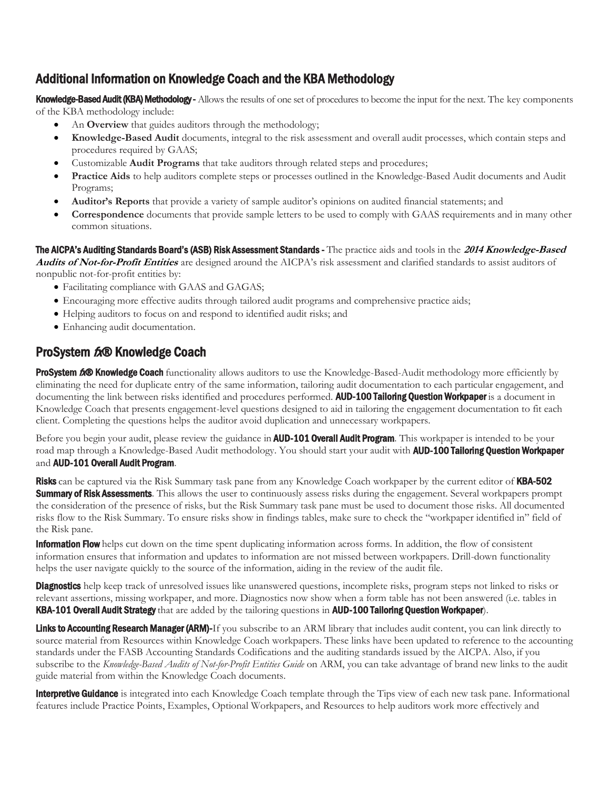# <span id="page-2-0"></span>Additional Information on Knowledge Coach and the KBA Methodology

Knowledge-Based Audit (KBA) Methodology - Allows the results of one set of procedures to become the input for the next. The key components of the KBA methodology include:

- An **Overview** that guides auditors through the methodology;
- **Knowledge-Based Audit** documents, integral to the risk assessment and overall audit processes, which contain steps and procedures required by GAAS;
- Customizable **Audit Programs** that take auditors through related steps and procedures;
- **Practice Aids** to help auditors complete steps or processes outlined in the Knowledge-Based Audit documents and Audit Programs;
- **Auditor's Reports** that provide a variety of sample auditor's opinions on audited financial statements; and
- **Correspondence** documents that provide sample letters to be used to comply with GAAS requirements and in many other common situations.

The AICPA's Auditing Standards Board's (ASB) Risk Assessment Standards - The practice aids and tools in the **2014 Knowledge-Based Audits of Not-for-Profit Entities** are designed around the AICPA's risk assessment and clarified standards to assist auditors of

nonpublic not-for-profit entities by:

- Facilitating compliance with GAAS and GAGAS;
- Encouraging more effective audits through tailored audit programs and comprehensive practice aids;
- Helping auditors to focus on and respond to identified audit risks; and
- Enhancing audit documentation.

## ProSystem tx® Knowledge Coach

ProSystem 600 Knowledge Coach functionality allows auditors to use the Knowledge-Based-Audit methodology more efficiently by eliminating the need for duplicate entry of the same information, tailoring audit documentation to each particular engagement, and documenting the link between risks identified and procedures performed. **AUD-100 Tailoring Question Workpaper** is a document in Knowledge Coach that presents engagement-level questions designed to aid in tailoring the engagement documentation to fit each client. Completing the questions helps the auditor avoid duplication and unnecessary workpapers.

Before you begin your audit, please review the guidance in **AUD-101 Overall Audit Program**. This workpaper is intended to be your road map through a Knowledge-Based Audit methodology. You should start your audit with **AUD-100 Tailoring Question Workpaper** and AUD-101 Overall Audit Program.

Risks can be captured via the Risk Summary task pane from any Knowledge Coach workpaper by the current editor of KBA-502 **Summary of Risk Assessments**. This allows the user to continuously assess risks during the engagement. Several workpapers prompt the consideration of the presence of risks, but the Risk Summary task pane must be used to document those risks. All documented risks flow to the Risk Summary. To ensure risks show in findings tables, make sure to check the "workpaper identified in" field of the Risk pane.

**Information Flow** helps cut down on the time spent duplicating information across forms. In addition, the flow of consistent information ensures that information and updates to information are not missed between workpapers. Drill-down functionality helps the user navigate quickly to the source of the information, aiding in the review of the audit file.

**Diagnostics** help keep track of unresolved issues like unanswered questions, incomplete risks, program steps not linked to risks or relevant assertions, missing workpaper, and more. Diagnostics now show when a form table has not been answered (i.e. tables in KBA-101 Overall Audit Strategy that are added by the tailoring questions in AUD-100 Tailoring Question Workpaper).

Links to Accounting Research Manager (ARM)-If you subscribe to an ARM library that includes audit content, you can link directly to source material from Resources within Knowledge Coach workpapers. These links have been updated to reference to the accounting standards under the FASB Accounting Standards Codifications and the auditing standards issued by the AICPA. Also, if you subscribe to the *Knowledge-Based Audits of Not-for-Profit Entities Guide* on ARM, you can take advantage of brand new links to the audit guide material from within the Knowledge Coach documents.

**Interpretive Guidance** is integrated into each Knowledge Coach template through the Tips view of each new task pane. Informational features include Practice Points, Examples, Optional Workpapers, and Resources to help auditors work more effectively and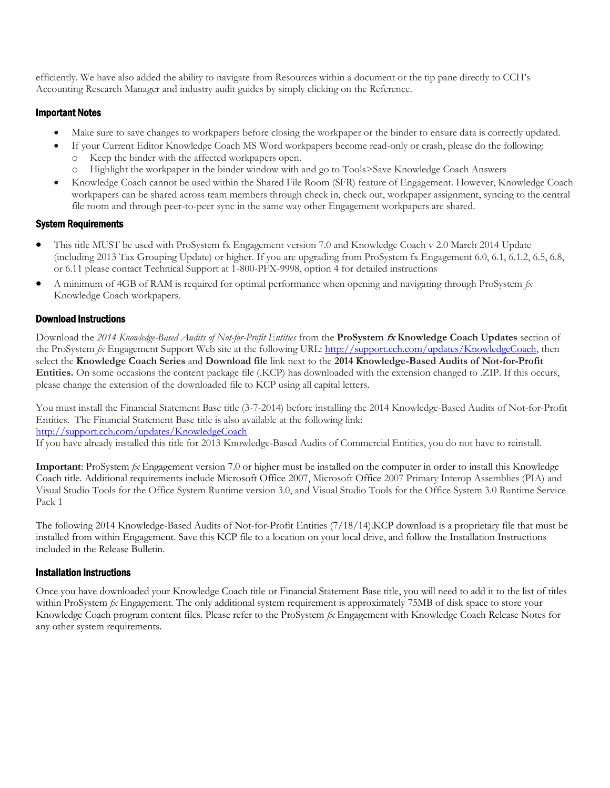efficiently. We have also added the ability to navigate from Resources within a document or the tip pane directly to CCH's Accounting Research Manager and industry audit guides by simply clicking on the Reference.

#### Important Notes

- Make sure to save changes to workpapers before closing the workpaper or the binder to ensure data is correctly updated.
- If your Current Editor Knowledge Coach MS Word workpapers become read-only or crash, please do the following: o Keep the binder with the affected workpapers open.
	- o Highlight the workpaper in the binder window with and go to Tools>Save Knowledge Coach Answers
- Knowledge Coach cannot be used within the Shared File Room (SFR) feature of Engagement. However, Knowledge Coach workpapers can be shared across team members through check in, check out, workpaper assignment, syncing to the central file room and through peer-to-peer sync in the same way other Engagement workpapers are shared.

#### System Requirements

- This title MUST be used with ProSystem fx Engagement version 7.0 and Knowledge Coach v 2.0 March 2014 Update (including 2013 Tax Grouping Update) or higher. If you are upgrading from ProSystem fx Engagement 6.0, 6.1, 6.1.2, 6.5, 6.8, or 6.11 please contact Technical Support at 1-800-PFX-9998, option 4 for detailed instructions
- A minimum of 4GB of RAM is required for optimal performance when opening and navigating through ProSystem *fx*  Knowledge Coach workpapers.

#### Download Instructions

Download the *2014 Knowledge-Based Audits of Not-for-Profit Entities* from the **ProSystem fx Knowledge Coach Updates** section of the ProSystem *fx* Engagement Support Web site at the following URL: [http://support.cch.com/updates/KnowledgeCoach,](http://support.cch.com/updates/KnowledgeCoach) then select the **Knowledge Coach Series** and **Download file** link next to the **2014 Knowledge-Based Audits of Not-for-Profit Entities.** On some occasions the content package file (.KCP) has downloaded with the extension changed to .ZIP. If this occurs, please change the extension of the downloaded file to KCP using all capital letters.

You must install the Financial Statement Base title (3-7-2014) before installing the 2014 Knowledge-Based Audits of Not-for-Profit Entities. The Financial Statement Base title is also available at the following link: <http://support.cch.com/updates/KnowledgeCoach>

If you have already installed this title for 2013 Knowledge-Based Audits of Commercial Entities, you do not have to reinstall.

**Important**: ProSystem *fx* Engagement version 7.0 or higher must be installed on the computer in order to install this Knowledge Coach title. Additional requirements include Microsoft Office 2007, Microsoft Office 2007 Primary Interop Assemblies (PIA) and Visual Studio Tools for the Office System Runtime version 3.0, and Visual Studio Tools for the Office System 3.0 Runtime Service Pack 1

The following 2014 Knowledge-Based Audits of Not-for-Profit Entities (7/18/14).KCP download is a proprietary file that must be installed from within Engagement. Save this KCP file to a location on your local drive, and follow the Installation Instructions included in the Release Bulletin.

#### Installation Instructions

Once you have downloaded your Knowledge Coach title or Financial Statement Base title, you will need to add it to the list of titles within ProSystem *fx* Engagement. The only additional system requirement is approximately 75MB of disk space to store your Knowledge Coach program content files. Please refer to the ProSystem *fx* Engagement with Knowledge Coach Release Notes for any other system requirements.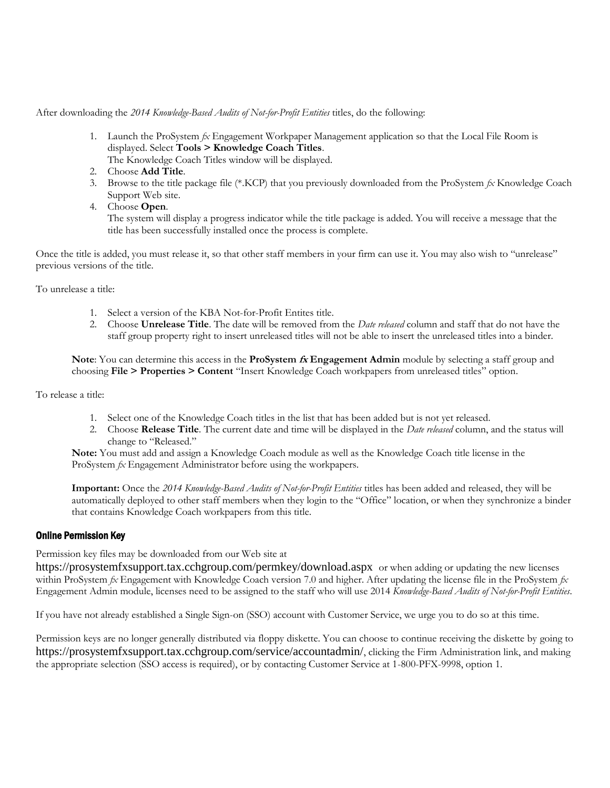After downloading the *2014 Knowledge-Based Audits of Not-for-Profit Entities* titles, do the following:

- 1. Launch the ProSystem *fx* Engagement Workpaper Management application so that the Local File Room is displayed. Select **Tools > Knowledge Coach Titles**.
	- The Knowledge Coach Titles window will be displayed.
- 2. Choose **Add Title**.
- 3. Browse to the title package file (\*.KCP) that you previously downloaded from the ProSystem *fx* Knowledge Coach Support Web site.
- 4. Choose **Open**.

The system will display a progress indicator while the title package is added. You will receive a message that the title has been successfully installed once the process is complete.

Once the title is added, you must release it, so that other staff members in your firm can use it. You may also wish to "unrelease" previous versions of the title.

To unrelease a title:

- 1. Select a version of the KBA Not-for-Profit Entites title.
- 2. Choose **Unrelease Title**. The date will be removed from the *Date released* column and staff that do not have the staff group property right to insert unreleased titles will not be able to insert the unreleased titles into a binder.

**Note**: You can determine this access in the **ProSystem fx Engagement Admin** module by selecting a staff group and choosing **File > Properties > Content** "Insert Knowledge Coach workpapers from unreleased titles" option.

To release a title:

- 1. Select one of the Knowledge Coach titles in the list that has been added but is not yet released.
- 2. Choose **Release Title**. The current date and time will be displayed in the *Date released* column, and the status will change to "Released."

**Note:** You must add and assign a Knowledge Coach module as well as the Knowledge Coach title license in the ProSystem *fx* Engagement Administrator before using the workpapers.

**Important:** Once the *2014 Knowledge-Based Audits of Not-for-Profit Entities* titles has been added and released, they will be automatically deployed to other staff members when they login to the "Office" location, or when they synchronize a binder that contains Knowledge Coach workpapers from this title.

#### Online Permission Key

Permission key files may be downloaded from our Web site at

https://prosystemfxsupport.tax.cchgroup.com/permkey/download.aspx or when adding or updating the new licenses within ProSystem *fx* Engagement with Knowledge Coach version 7.0 and higher. After updating the license file in the ProSystem *fx*  Engagement Admin module, licenses need to be assigned to the staff who will use 2014 *Knowledge-Based Audits of Not-for-Profit Entities*.

If you have not already established a Single Sign-on (SSO) account with Customer Service, we urge you to do so at this time.

Permission keys are no longer generally distributed via floppy diskette. You can choose to continue receiving the diskette by going to https://prosystemfxsupport.tax.cchgroup.com/service/accountadmin/, clicking the Firm Administration link, and making the appropriate selection (SSO access is required), or by contacting Customer Service at 1-800-PFX-9998, option 1.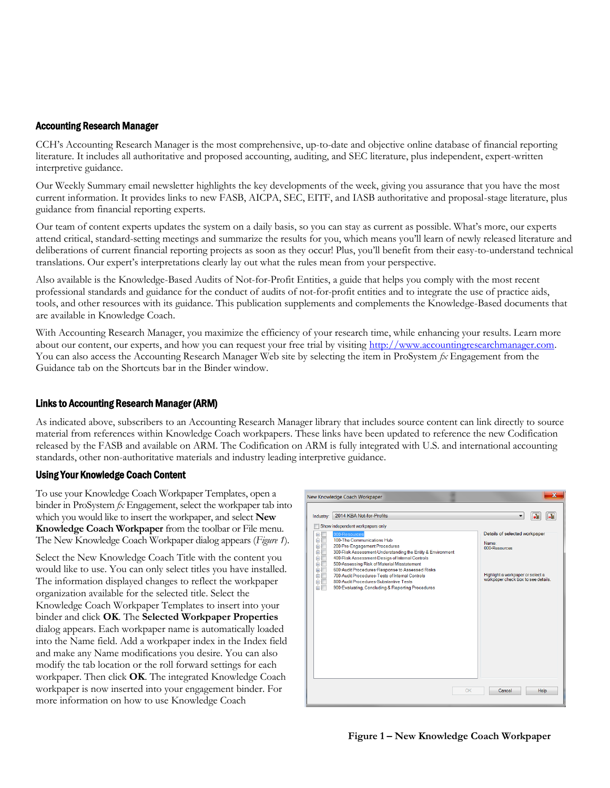### Accounting Research Manager

CCH's Accounting Research Manager is the most comprehensive, up-to-date and objective online database of financial reporting literature. It includes all authoritative and proposed accounting, auditing, and SEC literature, plus independent, expert-written interpretive guidance.

Our Weekly Summary email newsletter highlights the key developments of the week, giving you assurance that you have the most current information. It provides links to new FASB, AICPA, SEC, EITF, and IASB authoritative and proposal-stage literature, plus guidance from financial reporting experts.

Our team of content experts updates the system on a daily basis, so you can stay as current as possible. What's more, our experts attend critical, standard-setting meetings and summarize the results for you, which means you'll learn of newly released literature and deliberations of current financial reporting projects as soon as they occur! Plus, you'll benefit from their easy-to-understand technical translations. Our expert's interpretations clearly lay out what the rules mean from your perspective.

Also available is the Knowledge-Based Audits of Not-for-Profit Entities, a guide that helps you comply with the most recent professional standards and guidance for the conduct of audits of not-for-profit entities and to integrate the use of practice aids, tools, and other resources with its guidance. This publication supplements and complements the Knowledge-Based documents that are available in Knowledge Coach.

With Accounting Research Manager, you maximize the efficiency of your research time, while enhancing your results. Learn more about our content, our experts, and how you can request your free trial by visiting http://www.accountingresearchmanager.com. You can also access the Accounting Research Manager Web site by selecting the item in ProSystem  $\alpha$  Engagement from the Guidance tab on the Shortcuts bar in the Binder window.

#### Links to Accounting Research Manager (ARM)

As indicated above, subscribers to an Accounting Research Manager library that includes source content can link directly to source material from references within Knowledge Coach workpapers. These links have been updated to reference the new Codification released by the FASB and available on ARM. The Codification on ARM is fully integrated with U.S. and international accounting standards, other non-authoritative materials and industry leading interpretive guidance.

#### Using Your Knowledge Coach Content

To use your Knowledge Coach Workpaper Templates, open a binder in ProSystem *fx* Engagement, select the workpaper tab into which you would like to insert the workpaper, and select **New Knowledge Coach Workpaper** from the toolbar or File menu. The New Knowledge Coach Workpaper dialog appears (*Figure 1*).

Select the New Knowledge Coach Title with the content you would like to use. You can only select titles you have installed. The information displayed changes to reflect the workpaper organization available for the selected title. Select the Knowledge Coach Workpaper Templates to insert into your binder and click **OK**. The **Selected Workpaper Properties** dialog appears. Each workpaper name is automatically loaded into the Name field. Add a workpaper index in the Index field and make any Name modifications you desire. You can also modify the tab location or the roll forward settings for each workpaper. Then click **OK**. The integrated Knowledge Coach workpaper is now inserted into your engagement binder. For more information on how to use Knowledge Coach